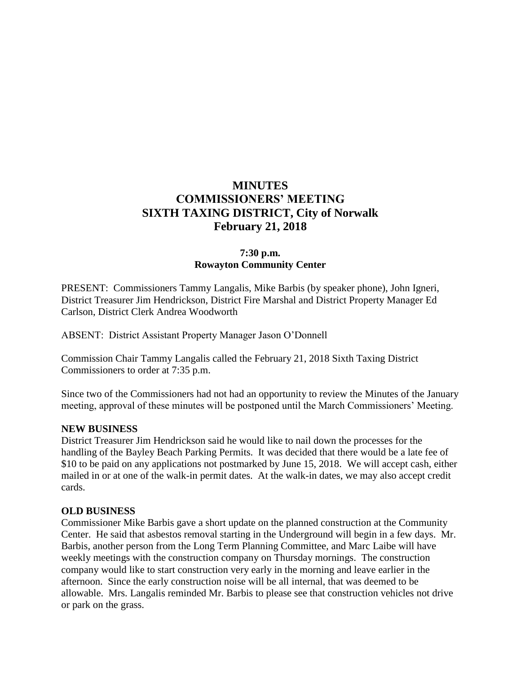# **MINUTES COMMISSIONERS' MEETING SIXTH TAXING DISTRICT, City of Norwalk February 21, 2018**

## **7:30 p.m. Rowayton Community Center**

PRESENT: Commissioners Tammy Langalis, Mike Barbis (by speaker phone), John Igneri, District Treasurer Jim Hendrickson, District Fire Marshal and District Property Manager Ed Carlson, District Clerk Andrea Woodworth

ABSENT: District Assistant Property Manager Jason O'Donnell

Commission Chair Tammy Langalis called the February 21, 2018 Sixth Taxing District Commissioners to order at 7:35 p.m.

Since two of the Commissioners had not had an opportunity to review the Minutes of the January meeting, approval of these minutes will be postponed until the March Commissioners' Meeting.

### **NEW BUSINESS**

District Treasurer Jim Hendrickson said he would like to nail down the processes for the handling of the Bayley Beach Parking Permits. It was decided that there would be a late fee of \$10 to be paid on any applications not postmarked by June 15, 2018. We will accept cash, either mailed in or at one of the walk-in permit dates. At the walk-in dates, we may also accept credit cards.

#### **OLD BUSINESS**

Commissioner Mike Barbis gave a short update on the planned construction at the Community Center. He said that asbestos removal starting in the Underground will begin in a few days. Mr. Barbis, another person from the Long Term Planning Committee, and Marc Laibe will have weekly meetings with the construction company on Thursday mornings. The construction company would like to start construction very early in the morning and leave earlier in the afternoon. Since the early construction noise will be all internal, that was deemed to be allowable. Mrs. Langalis reminded Mr. Barbis to please see that construction vehicles not drive or park on the grass.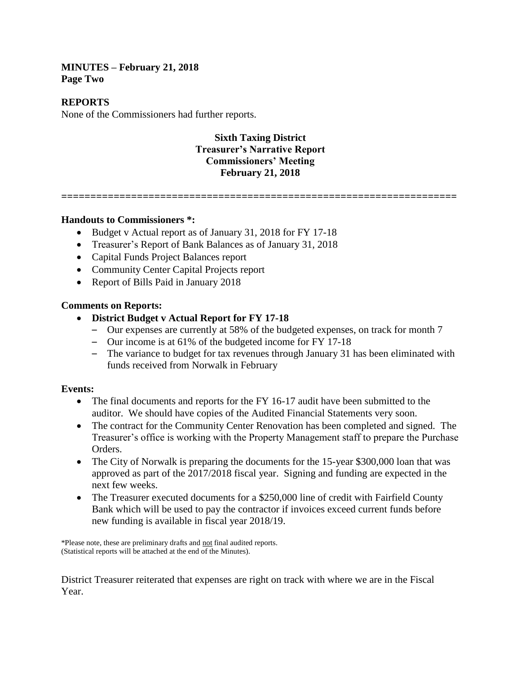#### **MINUTES – February 21, 2018 Page Two**

#### **REPORTS**

None of the Commissioners had further reports.

## **Sixth Taxing District Treasurer's Narrative Report Commissioners' Meeting February 21, 2018**

**====================================================================**

#### **Handouts to Commissioners \*:**

- Budget v Actual report as of January 31, 2018 for FY 17-18
- Treasurer's Report of Bank Balances as of January 31, 2018
- Capital Funds Project Balances report
- Community Center Capital Projects report
- Report of Bills Paid in January 2018

### **Comments on Reports:**

- **District Budget v Actual Report for FY 17-18**
	- Our expenses are currently at 58% of the budgeted expenses, on track for month 7
	- Our income is at 61% of the budgeted income for FY 17-18
	- The variance to budget for tax revenues through January 31 has been eliminated with funds received from Norwalk in February

### **Events:**

- The final documents and reports for the FY 16-17 audit have been submitted to the auditor. We should have copies of the Audited Financial Statements very soon.
- The contract for the Community Center Renovation has been completed and signed. The Treasurer's office is working with the Property Management staff to prepare the Purchase Orders.
- The City of Norwalk is preparing the documents for the 15-year \$300,000 loan that was approved as part of the 2017/2018 fiscal year. Signing and funding are expected in the next few weeks.
- The Treasurer executed documents for a \$250,000 line of credit with Fairfield County Bank which will be used to pay the contractor if invoices exceed current funds before new funding is available in fiscal year 2018/19.

\*Please note, these are preliminary drafts and not final audited reports. (Statistical reports will be attached at the end of the Minutes).

District Treasurer reiterated that expenses are right on track with where we are in the Fiscal Year.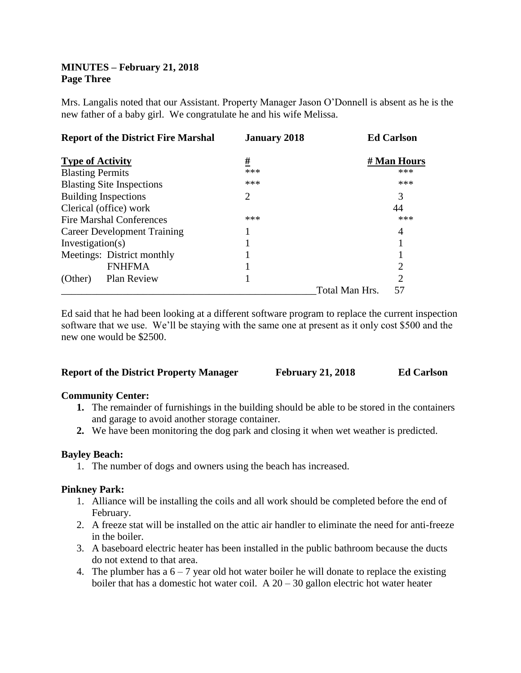## **MINUTES – February 21, 2018 Page Three**

Mrs. Langalis noted that our Assistant. Property Manager Jason O'Donnell is absent as he is the new father of a baby girl. We congratulate he and his wife Melissa.

| <b>Report of the District Fire Marshal</b> | <b>January 2018</b> |                | <b>Ed Carlson</b>           |
|--------------------------------------------|---------------------|----------------|-----------------------------|
| <b>Type of Activity</b>                    | #                   |                | # Man Hours                 |
| <b>Blasting Permits</b>                    | ***                 |                | ***                         |
| <b>Blasting Site Inspections</b>           | ***                 |                | ***                         |
| <b>Building Inspections</b>                | 2                   |                | 3                           |
| Clerical (office) work                     |                     |                | 44                          |
| Fire Marshal Conferences                   | ***                 |                | ***                         |
| Career Development Training                |                     |                | 4                           |
| Investigation(s)                           |                     |                |                             |
| Meetings: District monthly                 |                     |                |                             |
| <b>FNHFMA</b>                              |                     |                | 2                           |
| Plan Review<br>(Other)                     |                     |                | $\mathcal{D}_{\mathcal{L}}$ |
|                                            |                     | Total Man Hrs. | 57                          |

Ed said that he had been looking at a different software program to replace the current inspection software that we use. We'll be staying with the same one at present as it only cost \$500 and the new one would be \$2500.

| <b>Report of the District Property Manager</b> | <b>February 21, 2018</b> | <b>Ed Carlson</b> |
|------------------------------------------------|--------------------------|-------------------|
|------------------------------------------------|--------------------------|-------------------|

### **Community Center:**

- **1.** The remainder of furnishings in the building should be able to be stored in the containers and garage to avoid another storage container.
- **2.** We have been monitoring the dog park and closing it when wet weather is predicted.

### **Bayley Beach:**

1. The number of dogs and owners using the beach has increased.

### **Pinkney Park:**

- 1. Alliance will be installing the coils and all work should be completed before the end of February.
- 2. A freeze stat will be installed on the attic air handler to eliminate the need for anti-freeze in the boiler.
- 3. A baseboard electric heater has been installed in the public bathroom because the ducts do not extend to that area.
- 4. The plumber has a  $6 7$  year old hot water boiler he will donate to replace the existing boiler that has a domestic hot water coil. A  $20 - 30$  gallon electric hot water heater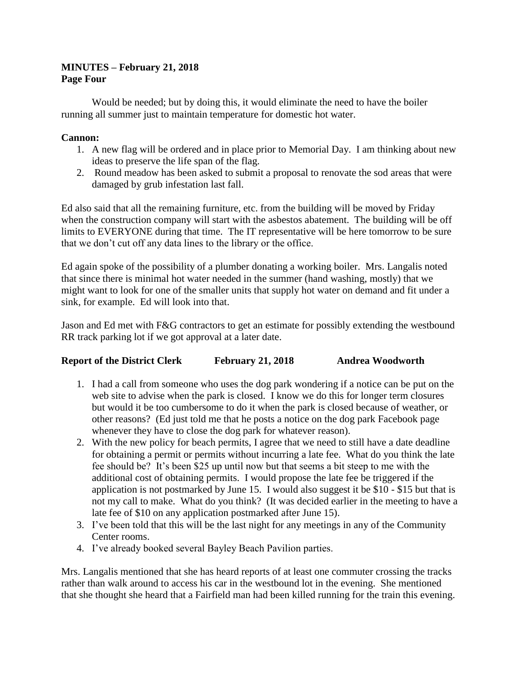## **MINUTES – February 21, 2018 Page Four**

Would be needed; but by doing this, it would eliminate the need to have the boiler running all summer just to maintain temperature for domestic hot water.

## **Cannon:**

- 1. A new flag will be ordered and in place prior to Memorial Day. I am thinking about new ideas to preserve the life span of the flag.
- 2. Round meadow has been asked to submit a proposal to renovate the sod areas that were damaged by grub infestation last fall.

Ed also said that all the remaining furniture, etc. from the building will be moved by Friday when the construction company will start with the asbestos abatement. The building will be off limits to EVERYONE during that time. The IT representative will be here tomorrow to be sure that we don't cut off any data lines to the library or the office.

Ed again spoke of the possibility of a plumber donating a working boiler. Mrs. Langalis noted that since there is minimal hot water needed in the summer (hand washing, mostly) that we might want to look for one of the smaller units that supply hot water on demand and fit under a sink, for example. Ed will look into that.

Jason and Ed met with F&G contractors to get an estimate for possibly extending the westbound RR track parking lot if we got approval at a later date.

## **Report of the District Clerk February 21, 2018 Andrea Woodworth**

- 1. I had a call from someone who uses the dog park wondering if a notice can be put on the web site to advise when the park is closed. I know we do this for longer term closures but would it be too cumbersome to do it when the park is closed because of weather, or other reasons? (Ed just told me that he posts a notice on the dog park Facebook page whenever they have to close the dog park for whatever reason).
- 2. With the new policy for beach permits, I agree that we need to still have a date deadline for obtaining a permit or permits without incurring a late fee. What do you think the late fee should be? It's been \$25 up until now but that seems a bit steep to me with the additional cost of obtaining permits. I would propose the late fee be triggered if the application is not postmarked by June 15. I would also suggest it be \$10 - \$15 but that is not my call to make. What do you think? (It was decided earlier in the meeting to have a late fee of \$10 on any application postmarked after June 15).
- 3. I've been told that this will be the last night for any meetings in any of the Community Center rooms.
- 4. I've already booked several Bayley Beach Pavilion parties.

Mrs. Langalis mentioned that she has heard reports of at least one commuter crossing the tracks rather than walk around to access his car in the westbound lot in the evening. She mentioned that she thought she heard that a Fairfield man had been killed running for the train this evening.